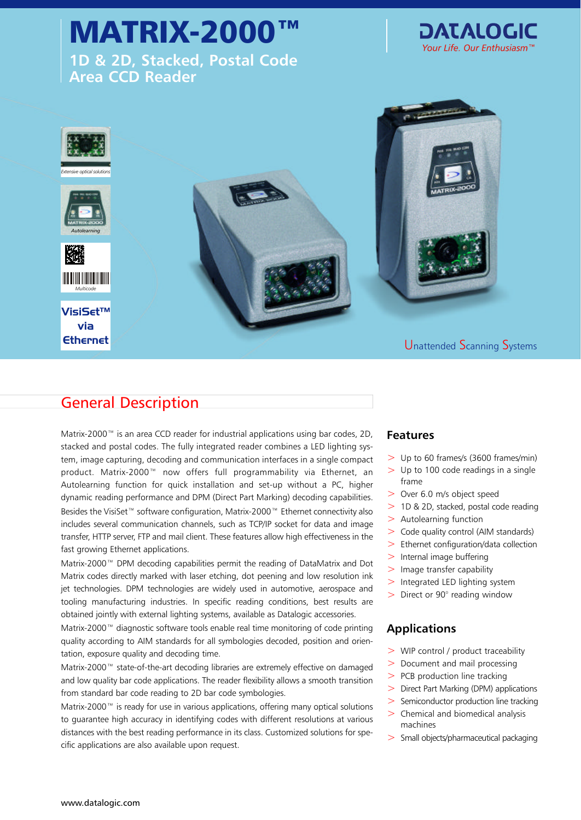# MATRIX-2000

**1D & 2D, Stacked, Postal Code Area CCD Reader**





## General Description

Matrix-2000™ is an area CCD reader for industrial applications using bar codes, 2D, **Features** stacked and postal codes. The fully integrated reader combines a LED lighting system, image capturing, decoding and communication interfaces in a single compact product. Matrix-2000™ now offers full programmability via Ethernet, an Autolearning function for quick installation and set-up without a PC, higher dynamic reading performance and DPM (Direct Part Marking) decoding capabilities. Besides the VisiSet™ software configuration, Matrix-2000™ Ethernet connectivity also includes several communication channels, such as TCP/IP socket for data and image transfer, HTTP server, FTP and mail client. These features allow high effectiveness in the fast growing Ethernet applications.

Matrix-2000™ DPM decoding capabilities permit the reading of DataMatrix and Dot Matrix codes directly marked with laser etching, dot peening and low resolution ink jet technologies. DPM technologies are widely used in automotive, aerospace and tooling manufacturing industries. In specific reading conditions, best results are obtained jointly with external lighting systems, available as Datalogic accessories.

Matrix-2000™ diagnostic software tools enable real time monitoring of code printing quality according to AIM standards for all symbologies decoded, position and orientation, exposure quality and decoding time.

Matrix-2000™ state-of-the-art decoding libraries are extremely effective on damaged and low quality bar code applications. The reader flexibility allows a smooth transition from standard bar code reading to 2D bar code symbologies.

Matrix-2000™ is ready for use in various applications, offering many optical solutions to guarantee high accuracy in identifying codes with different resolutions at various distances with the best reading performance in its class. Customized solutions for specific applications are also available upon request.

- $>$  Up to 60 frames/s (3600 frames/min)
- $>$  Up to 100 code readings in a single frame
- > Over 6.0 m/s object speed
- > 1D & 2D, stacked, postal code reading
- $>$  Autolearning function
- > Code quality control (AIM standards)
- > Ethernet configuration/data collection
- $>$  Internal image buffering
- > Image transfer capability
- > Integrated LED lighting system
- > Direct or 90° reading window

#### **Applications**

- > WIP control / product traceability
- > Document and mail processing
- > PCB production line tracking
- > Direct Part Marking (DPM) applications
- > Semiconductor production line tracking
- $>$  Chemical and biomedical analysis machines
- > Small objects/pharmaceutical packaging